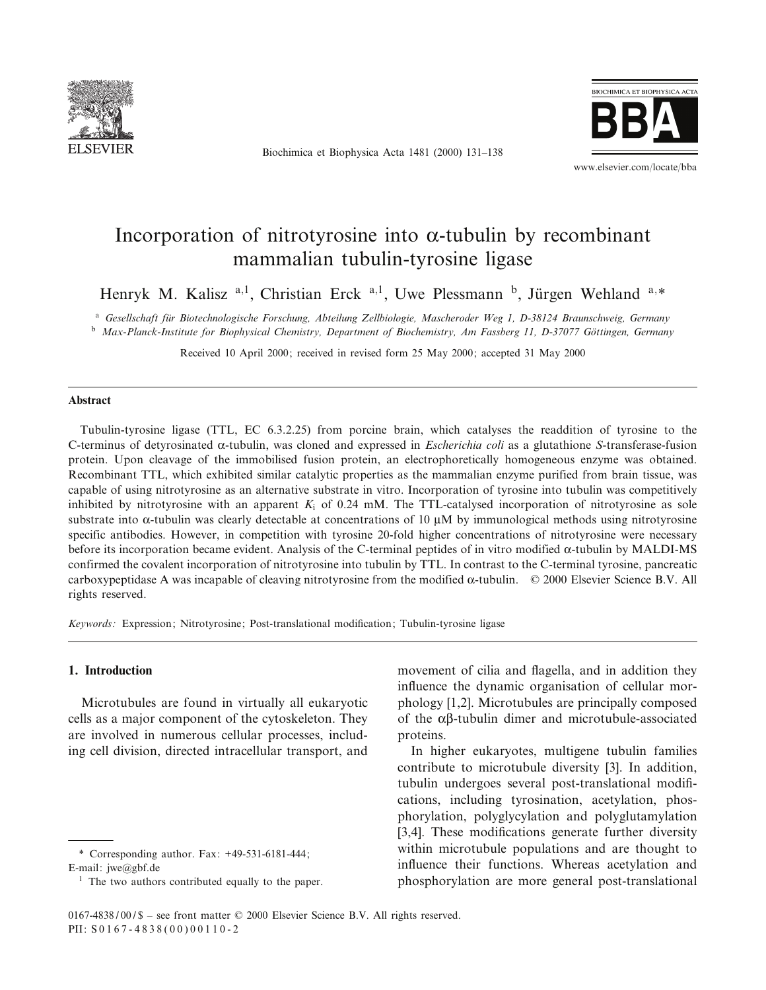

Biochimica et Biophysica Acta 1481 (2000) 131^138



www.elsevier.com/locate/bba

# Incorporation of nitrotyrosine into  $\alpha$ -tubulin by recombinant mammalian tubulin-tyrosine ligase

Henryk M. Kalisz<sup>a, 1</sup>, Christian Erck<sup>a, 1</sup>, Uwe Plessmann<sup>b</sup>, Jürgen Wehland<sup>a,\*</sup>

<sup>a</sup> Gesellschaft für Biotechnologische Forschung, Abteilung Zellbiologie, Mascheroder Weg 1, D-38124 Braunschweig, Germany

 $<sup>b</sup>$  Max-Planck-Institute for Biophysical Chemistry, Department of Biochemistry, Am Fassberg 11, D-37077 Göttingen, Germany</sup>

Received 10 April 2000; received in revised form 25 May 2000; accepted 31 May 2000

### Abstract

Tubulin-tyrosine ligase (TTL, EC 6.3.2.25) from porcine brain, which catalyses the readdition of tyrosine to the C-terminus of detyrosinated  $\alpha$ -tubulin, was cloned and expressed in *Escherichia coli* as a glutathione *S*-transferase-fusion protein. Upon cleavage of the immobilised fusion protein, an electrophoretically homogeneous enzyme was obtained. Recombinant TTL, which exhibited similar catalytic properties as the mammalian enzyme purified from brain tissue, was capable of using nitrotyrosine as an alternative substrate in vitro. Incorporation of tyrosine into tubulin was competitively inhibited by nitrotyrosine with an apparent  $K_i$  of 0.24 mM. The TTL-catalysed incorporation of nitrotyrosine as sole substrate into  $\alpha$ -tubulin was clearly detectable at concentrations of 10  $\mu$ M by immunological methods using nitrotyrosine specific antibodies. However, in competition with tyrosine 20-fold higher concentrations of nitrotyrosine were necessary before its incorporation became evident. Analysis of the C-terminal peptides of in vitro modified  $\alpha$ -tubulin by MALDI-MS confirmed the covalent incorporation of nitrotyrosine into tubulin by TTL. In contrast to the C-terminal tyrosine, pancreatic carboxypeptidase A was incapable of cleaving nitrotyrosine from the modified  $\alpha$ -tubulin.  $\circ$  2000 Elsevier Science B.V. All rights reserved.

Keywords: Expression; Nitrotyrosine; Post-translational modification; Tubulin-tyrosine ligase

## 1. Introduction

Microtubules are found in virtually all eukaryotic cells as a major component of the cytoskeleton. They are involved in numerous cellular processes, including cell division, directed intracellular transport, and

movement of cilia and flagella, and in addition they influence the dynamic organisation of cellular morphology [1,2]. Microtubules are principally composed of the  $\alpha\beta$ -tubulin dimer and microtubule-associated proteins.

In higher eukaryotes, multigene tubulin families contribute to microtubule diversity [3]. In addition, tubulin undergoes several post-translational modifications, including tyrosination, acetylation, phosphorylation, polyglycylation and polyglutamylation [3,4]. These modifications generate further diversity within microtubule populations and are thought to influence their functions. Whereas acetylation and phosphorylation are more general post-translational

<sup>\*</sup> Corresponding author. Fax: +49-531-6181-444; E-mail: jwe@gbf.de

 $<sup>1</sup>$  The two authors contributed equally to the paper.</sup>

 $0167-4838 / 00 /$  \$ - see front matter  $© 2000$  Elsevier Science B.V. All rights reserved. PII:  $S0167 - 4838(00)00110 - 2$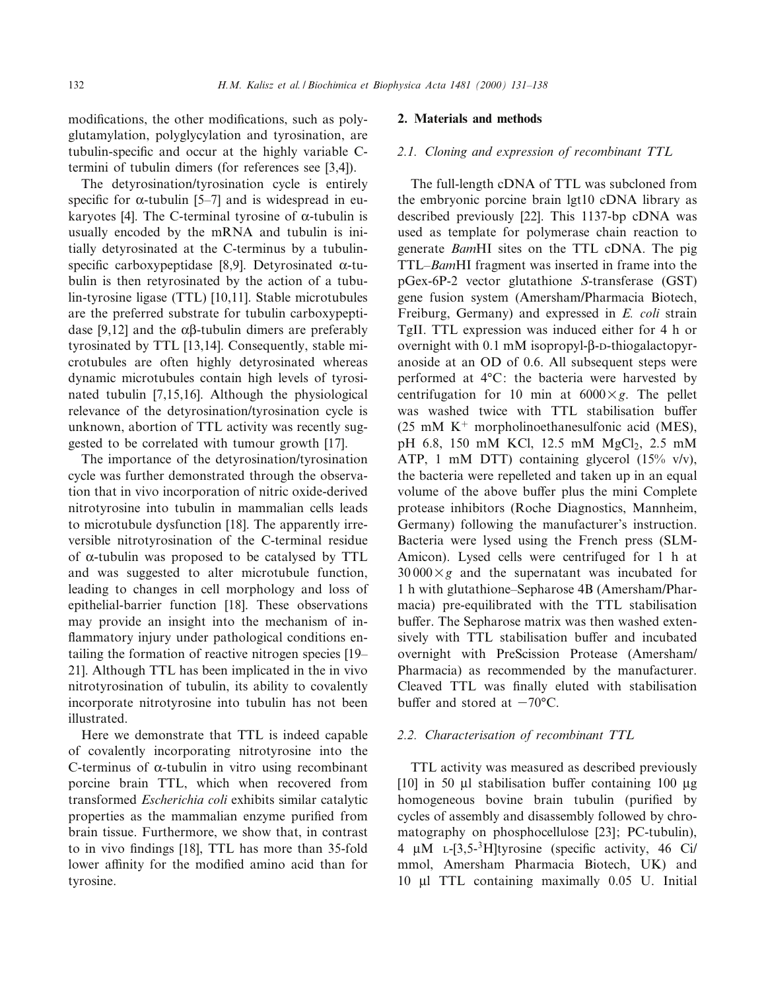modifications, the other modifications, such as polyglutamylation, polyglycylation and tyrosination, are tubulin-specific and occur at the highly variable Ctermini of tubulin dimers (for references see [3,4]).

The detyrosination/tyrosination cycle is entirely specific for  $\alpha$ -tubulin [5–7] and is widespread in eukaryotes [4]. The C-terminal tyrosine of  $\alpha$ -tubulin is usually encoded by the mRNA and tubulin is initially detyrosinated at the C-terminus by a tubulinspecific carboxypeptidase [8,9]. Detyrosinated  $\alpha$ -tubulin is then retyrosinated by the action of a tubulin-tyrosine ligase (TTL) [10,11]. Stable microtubules are the preferred substrate for tubulin carboxypeptidase [9,12] and the  $\alpha\beta$ -tubulin dimers are preferably tyrosinated by TTL [13,14]. Consequently, stable microtubules are often highly detyrosinated whereas dynamic microtubules contain high levels of tyrosinated tubulin [7,15,16]. Although the physiological relevance of the detyrosination/tyrosination cycle is unknown, abortion of TTL activity was recently suggested to be correlated with tumour growth [17].

The importance of the detyrosination/tyrosination cycle was further demonstrated through the observation that in vivo incorporation of nitric oxide-derived nitrotyrosine into tubulin in mammalian cells leads to microtubule dysfunction [18]. The apparently irreversible nitrotyrosination of the C-terminal residue of  $\alpha$ -tubulin was proposed to be catalysed by TTL and was suggested to alter microtubule function, leading to changes in cell morphology and loss of epithelial-barrier function [18]. These observations may provide an insight into the mechanism of in flammatory injury under pathological conditions entailing the formation of reactive nitrogen species [19-21]. Although TTL has been implicated in the in vivo nitrotyrosination of tubulin, its ability to covalently incorporate nitrotyrosine into tubulin has not been illustrated.

Here we demonstrate that TTL is indeed capable of covalently incorporating nitrotyrosine into the C-terminus of  $\alpha$ -tubulin in vitro using recombinant porcine brain TTL, which when recovered from transformed Escherichia coli exhibits similar catalytic properties as the mammalian enzyme purified from brain tissue. Furthermore, we show that, in contrast to in vivo findings [18], TTL has more than 35-fold lower affinity for the modified amino acid than for tyrosine.

## 2. Materials and methods

## 2.1. Cloning and expression of recombinant TTL

The full-length cDNA of TTL was subcloned from the embryonic porcine brain lgt10 cDNA library as described previously [22]. This 1137-bp cDNA was used as template for polymerase chain reaction to generate BamHI sites on the TTL cDNA. The pig TTL-BamHI fragment was inserted in frame into the pGex-6P-2 vector glutathione S-transferase (GST) gene fusion system (Amersham/Pharmacia Biotech, Freiburg, Germany) and expressed in E. coli strain TgII. TTL expression was induced either for 4 h or overnight with  $0.1 \text{ mM}$  isopropyl- $\beta$ -D-thiogalactopyranoside at an OD of 0.6. All subsequent steps were performed at  $4^{\circ}$ C: the bacteria were harvested by centrifugation for 10 min at  $6000 \times g$ . The pellet was washed twice with TTL stabilisation buffer (25 mM  $K^+$  morpholinoethanesulfonic acid (MES), pH 6.8, 150 mM KCl, 12.5 mM MgCl<sub>2</sub>, 2.5 mM ATP, 1 mM DTT) containing glycerol (15% v/v), the bacteria were repelleted and taken up in an equal volume of the above buffer plus the mini Complete protease inhibitors (Roche Diagnostics, Mannheim, Germany) following the manufacturer's instruction. Bacteria were lysed using the French press (SLM-Amicon). Lysed cells were centrifuged for 1 h at  $30000\times g$  and the supernatant was incubated for 1 h with glutathione^Sepharose 4B (Amersham/Pharmacia) pre-equilibrated with the TTL stabilisation buffer. The Sepharose matrix was then washed extensively with TTL stabilisation buffer and incubated overnight with PreScission Protease (Amersham/ Pharmacia) as recommended by the manufacturer. Cleaved TTL was finally eluted with stabilisation buffer and stored at  $-70$ °C.

#### 2.2. Characterisation of recombinant TTL

TTL activity was measured as described previously [10] in 50  $\mu$ l stabilisation buffer containing 100  $\mu$ g homogeneous bovine brain tubulin (purified by cycles of assembly and disassembly followed by chromatography on phosphocellulose [23]; PC-tubulin), 4  $\mu$ M L-[3,5-<sup>3</sup>H]tyrosine (specific activity, 46 Ci/ mmol, Amersham Pharmacia Biotech, UK) and 10 Wl TTL containing maximally 0.05 U. Initial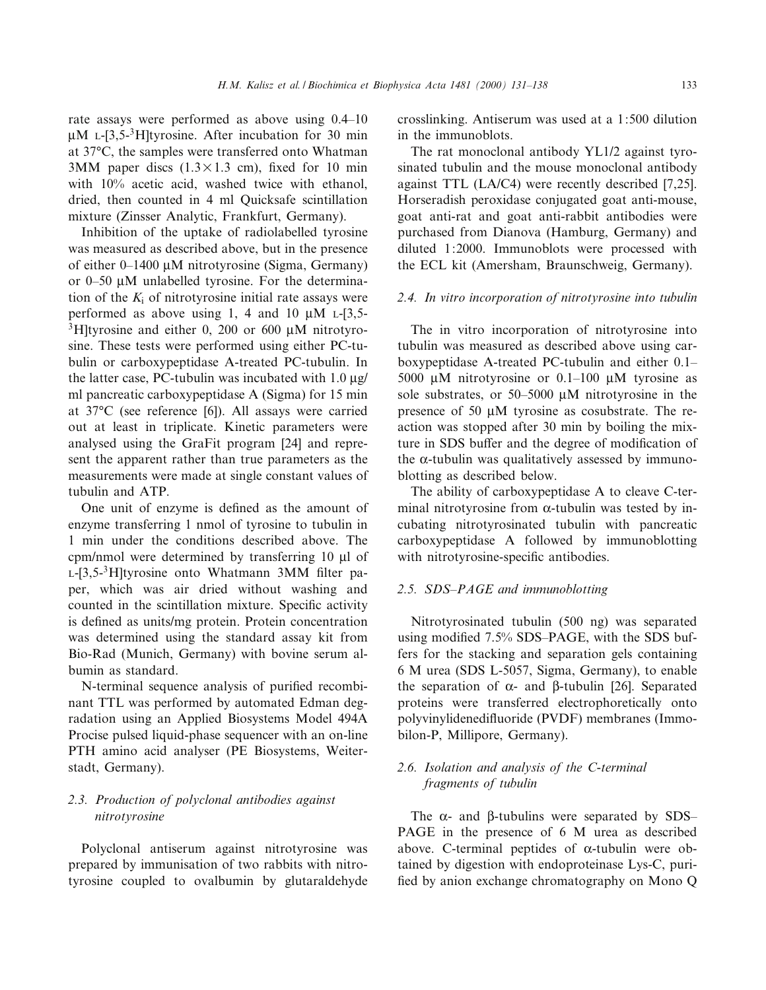rate assays were performed as above using  $0.4$ -10  $\mu$ M L-[3,5-<sup>3</sup>H]tyrosine. After incubation for 30 min at 37°C, the samples were transferred onto Whatman 3MM paper discs  $(1.3 \times 1.3$  cm), fixed for 10 min with 10% acetic acid, washed twice with ethanol, dried, then counted in 4 ml Quicksafe scintillation mixture (Zinsser Analytic, Frankfurt, Germany).

Inhibition of the uptake of radiolabelled tyrosine was measured as described above, but in the presence of either  $0-1400 \mu M$  nitrotyrosine (Sigma, Germany) or  $0-50$  µM unlabelled tyrosine. For the determination of the  $K_i$  of nitrotyrosine initial rate assays were performed as above using 1, 4 and 10  $\mu$ M  $\text{L-}$ [3,5- $3H$ ltyrosine and either 0, 200 or 600 µM nitrotyrosine. These tests were performed using either PC-tubulin or carboxypeptidase A-treated PC-tubulin. In the latter case, PC-tubulin was incubated with  $1.0 \mu$ g/ ml pancreatic carboxypeptidase A (Sigma) for 15 min at 37°C (see reference [6]). All assays were carried out at least in triplicate. Kinetic parameters were analysed using the GraFit program [24] and represent the apparent rather than true parameters as the measurements were made at single constant values of tubulin and ATP.

One unit of enzyme is defined as the amount of enzyme transferring 1 nmol of tyrosine to tubulin in 1 min under the conditions described above. The cpm/nmol were determined by transferring 10 µl of  $L$ -[3,5<sup>-3</sup>H]tyrosine onto Whatmann 3MM filter paper, which was air dried without washing and counted in the scintillation mixture. Specific activity is defined as units/mg protein. Protein concentration was determined using the standard assay kit from Bio-Rad (Munich, Germany) with bovine serum albumin as standard.

N-terminal sequence analysis of purified recombinant TTL was performed by automated Edman degradation using an Applied Biosystems Model 494A Procise pulsed liquid-phase sequencer with an on-line PTH amino acid analyser (PE Biosystems, Weiterstadt, Germany).

# 2.3. Production of polyclonal antibodies against nitrotyrosine

Polyclonal antiserum against nitrotyrosine was prepared by immunisation of two rabbits with nitrotyrosine coupled to ovalbumin by glutaraldehyde crosslinking. Antiserum was used at a 1:500 dilution in the immunoblots.

The rat monoclonal antibody YL1/2 against tyrosinated tubulin and the mouse monoclonal antibody against TTL (LA/C4) were recently described [7,25]. Horseradish peroxidase conjugated goat anti-mouse, goat anti-rat and goat anti-rabbit antibodies were purchased from Dianova (Hamburg, Germany) and diluted 1:2000. Immunoblots were processed with the ECL kit (Amersham, Braunschweig, Germany).

### 2.4. In vitro incorporation of nitrotyrosine into tubulin

The in vitro incorporation of nitrotyrosine into tubulin was measured as described above using carboxypeptidase A-treated PC-tubulin and either 0.1^ 5000  $\mu$ M nitrotyrosine or 0.1–100  $\mu$ M tyrosine as sole substrates, or  $50-5000 \mu M$  nitrotyrosine in the presence of 50  $\mu$ M tyrosine as cosubstrate. The reaction was stopped after 30 min by boiling the mixture in SDS buffer and the degree of modification of the  $\alpha$ -tubulin was qualitatively assessed by immunoblotting as described below.

The ability of carboxypeptidase A to cleave C-terminal nitrotyrosine from  $\alpha$ -tubulin was tested by incubating nitrotyrosinated tubulin with pancreatic carboxypeptidase A followed by immunoblotting with nitrotyrosine-specific antibodies.

## 2.5. SDS-PAGE and immunoblotting

Nitrotyrosinated tubulin (500 ng) was separated using modified 7.5% SDS-PAGE, with the SDS buffers for the stacking and separation gels containing 6 M urea (SDS L-5057, Sigma, Germany), to enable the separation of  $\alpha$ - and  $\beta$ -tubulin [26]. Separated proteins were transferred electrophoretically onto polyvinylidenedifluoride (PVDF) membranes (Immobilon-P, Millipore, Germany).

# 2.6. Isolation and analysis of the C-terminal fragments of tubulin

The  $\alpha$ - and  $\beta$ -tubulins were separated by SDS-PAGE in the presence of 6 M urea as described above. C-terminal peptides of  $\alpha$ -tubulin were obtained by digestion with endoproteinase Lys-C, puri fied by anion exchange chromatography on Mono Q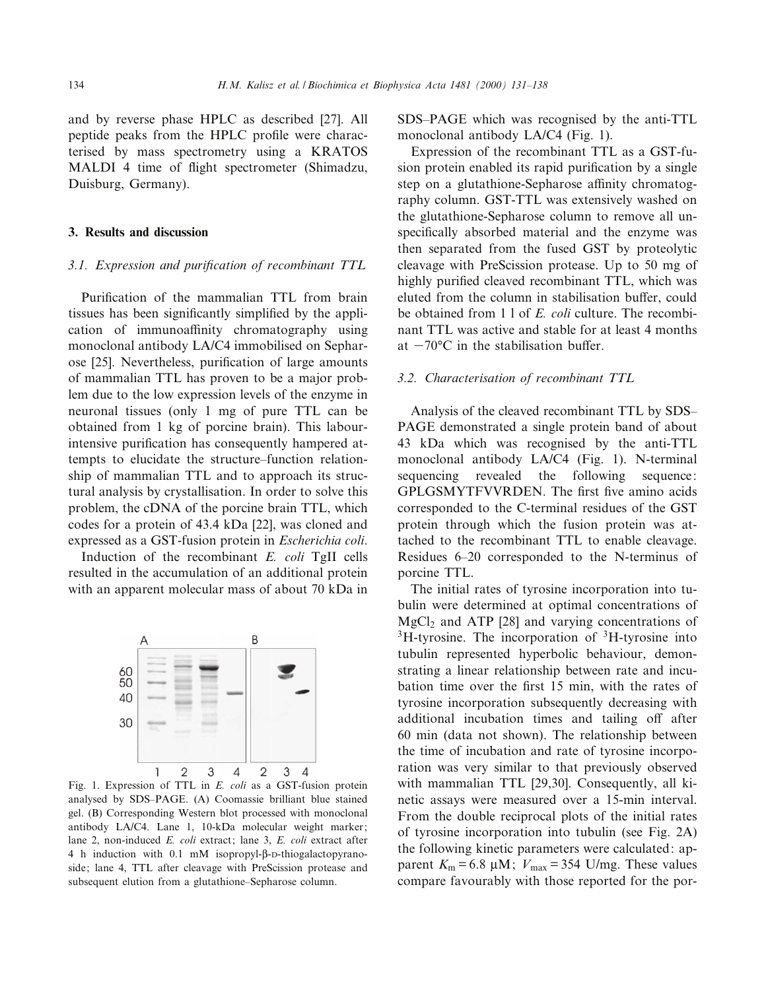and by reverse phase HPLC as described [27]. All peptide peaks from the HPLC profile were characterised by mass spectrometry using a KRATOS MALDI 4 time of flight spectrometer (Shimadzu, Duisburg, Germany).

## 3. Results and discussion

#### 3.1. Expression and purification of recombinant TTL

Purification of the mammalian TTL from brain tissues has been significantly simplified by the application of immunoaffinity chromatography using monoclonal antibody LA/C4 immobilised on Sepharose [25]. Nevertheless, purification of large amounts of mammalian TTL has proven to be a major problem due to the low expression levels of the enzyme in neuronal tissues (only 1 mg of pure TTL can be obtained from 1 kg of porcine brain). This labourintensive purification has consequently hampered attempts to elucidate the structure-function relationship of mammalian TTL and to approach its structural analysis by crystallisation. In order to solve this problem, the cDNA of the porcine brain TTL, which codes for a protein of 43.4 kDa [22], was cloned and expressed as a GST-fusion protein in Escherichia coli.

Induction of the recombinant E. coli TgII cells resulted in the accumulation of an additional protein with an apparent molecular mass of about 70 kDa in



Fig. 1. Expression of TTL in E. coli as a GST-fusion protein analysed by SDS-PAGE. (A) Coomassie brilliant blue stained gel. (B) Corresponding Western blot processed with monoclonal antibody LA/C4. Lane 1, 10-kDa molecular weight marker; lane 2, non-induced E. coli extract; lane 3, E. coli extract after 4 h induction with 0.1 mM isopropyl- $\beta$ -D-thiogalactopyranoside; lane 4, TTL after cleavage with PreScission protease and subsequent elution from a glutathione-Sepharose column.

SDS^PAGE which was recognised by the anti-TTL monoclonal antibody LA/C4 (Fig. 1).

Expression of the recombinant TTL as a GST-fusion protein enabled its rapid purification by a single step on a glutathione-Sepharose affinity chromatography column. GST-TTL was extensively washed on the glutathione-Sepharose column to remove all unspecifically absorbed material and the enzyme was then separated from the fused GST by proteolytic cleavage with PreScission protease. Up to 50 mg of highly purified cleaved recombinant TTL, which was eluted from the column in stabilisation buffer, could be obtained from 1 l of E. coli culture. The recombinant TTL was active and stable for at least 4 months at  $-70^{\circ}$ C in the stabilisation buffer.

#### 3.2. Characterisation of recombinant TTL

Analysis of the cleaved recombinant TTL by SDS^ PAGE demonstrated a single protein band of about 43 kDa which was recognised by the anti-TTL monoclonal antibody LA/C4 (Fig. 1). N-terminal sequencing revealed the following sequence: GPLGSMYTFVVRDEN. The first five amino acids corresponded to the C-terminal residues of the GST protein through which the fusion protein was attached to the recombinant TTL to enable cleavage. Residues 6^20 corresponded to the N-terminus of porcine TTL.

The initial rates of tyrosine incorporation into tubulin were determined at optimal concentrations of  $MgCl<sub>2</sub>$  and ATP [28] and varying concentrations of  $3H$ -tyrosine. The incorporation of  $3H$ -tyrosine into tubulin represented hyperbolic behaviour, demonstrating a linear relationship between rate and incubation time over the first 15 min, with the rates of tyrosine incorporation subsequently decreasing with additional incubation times and tailing off after 60 min (data not shown). The relationship between the time of incubation and rate of tyrosine incorporation was very similar to that previously observed with mammalian TTL [29,30]. Consequently, all kinetic assays were measured over a 15-min interval. From the double reciprocal plots of the initial rates of tyrosine incorporation into tubulin (see Fig. 2A) the following kinetic parameters were calculated: apparent  $K_m = 6.8 \mu M$ ;  $V_{max} = 354 \text{ U/mg}$ . These values compare favourably with those reported for the por-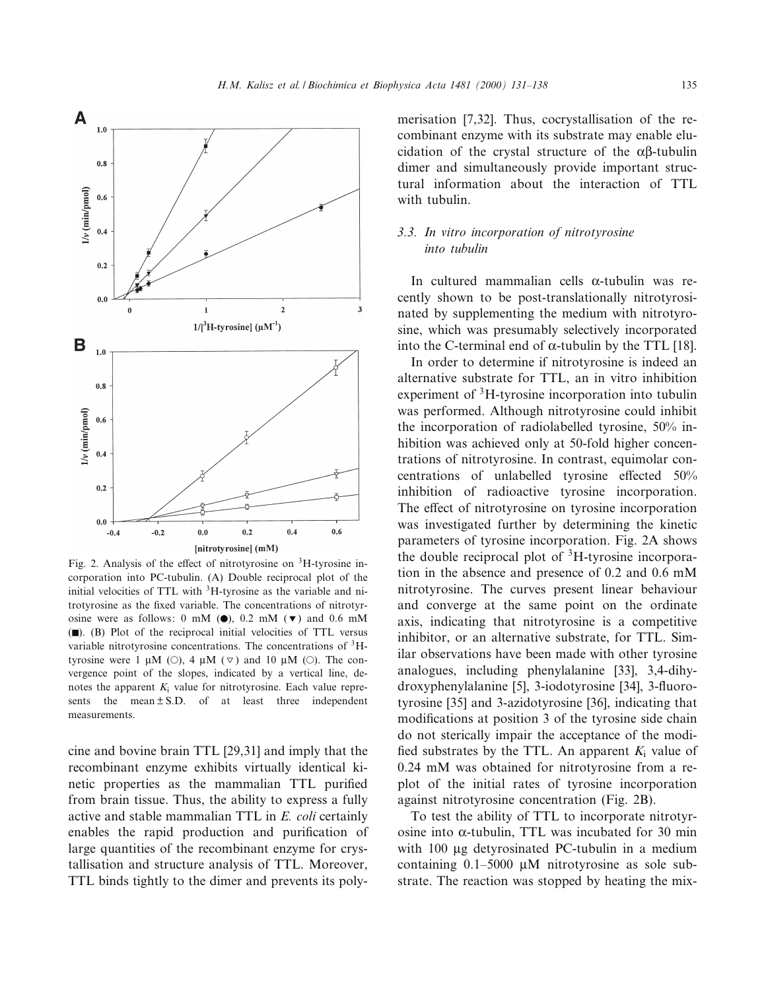

Fig. 2. Analysis of the effect of nitrotyrosine on  ${}^{3}$ H-tyrosine incorporation into PC-tubulin. (A) Double reciprocal plot of the initial velocities of TTL with <sup>3</sup>H-tyrosine as the variable and nitrotyrosine as the fixed variable. The concentrations of nitrotyrosine were as follows: 0 mM  $(\bullet)$ , 0.2 mM  $(\bullet)$  and 0.6 mM (F). (B) Plot of the reciprocal initial velocities of TTL versus variable nitrotyrosine concentrations. The concentrations of <sup>3</sup>Htyrosine were 1  $\mu$ M ( $\odot$ ), 4  $\mu$ M ( $\triangledown$ ) and 10  $\mu$ M ( $\odot$ ). The convergence point of the slopes, indicated by a vertical line, denotes the apparent  $K_i$  value for nitrotyrosine. Each value represents the mean  $\pm$  S.D. of at least three independent measurements.

cine and bovine brain TTL [29,31] and imply that the recombinant enzyme exhibits virtually identical kinetic properties as the mammalian TTL purified from brain tissue. Thus, the ability to express a fully active and stable mammalian TTL in E. coli certainly enables the rapid production and purification of large quantities of the recombinant enzyme for crystallisation and structure analysis of TTL. Moreover, TTL binds tightly to the dimer and prevents its polymerisation [7,32]. Thus, cocrystallisation of the recombinant enzyme with its substrate may enable elucidation of the crystal structure of the  $\alpha\beta$ -tubulin dimer and simultaneously provide important structural information about the interaction of TTL with tubulin.

# 3.3. In vitro incorporation of nitrotyrosine into tubulin

In cultured mammalian cells  $\alpha$ -tubulin was recently shown to be post-translationally nitrotyrosinated by supplementing the medium with nitrotyrosine, which was presumably selectively incorporated into the C-terminal end of  $\alpha$ -tubulin by the TTL [18].

In order to determine if nitrotyrosine is indeed an alternative substrate for TTL, an in vitro inhibition experiment of <sup>3</sup>H-tyrosine incorporation into tubulin was performed. Although nitrotyrosine could inhibit the incorporation of radiolabelled tyrosine, 50% inhibition was achieved only at 50-fold higher concentrations of nitrotyrosine. In contrast, equimolar concentrations of unlabelled tyrosine effected 50% inhibition of radioactive tyrosine incorporation. The effect of nitrotyrosine on tyrosine incorporation was investigated further by determining the kinetic parameters of tyrosine incorporation. Fig. 2A shows the double reciprocal plot of  ${}^{3}H$ -tyrosine incorporation in the absence and presence of 0.2 and 0.6 mM nitrotyrosine. The curves present linear behaviour and converge at the same point on the ordinate axis, indicating that nitrotyrosine is a competitive inhibitor, or an alternative substrate, for TTL. Similar observations have been made with other tyrosine analogues, including phenylalanine [33], 3,4-dihydroxyphenylalanine [5], 3-iodotyrosine [34], 3-fluorotyrosine [35] and 3-azidotyrosine [36], indicating that modifications at position 3 of the tyrosine side chain do not sterically impair the acceptance of the modi fied substrates by the TTL. An apparent  $K_i$  value of 0.24 mM was obtained for nitrotyrosine from a replot of the initial rates of tyrosine incorporation against nitrotyrosine concentration (Fig. 2B).

To test the ability of TTL to incorporate nitrotyrosine into  $\alpha$ -tubulin, TTL was incubated for 30 min with 100 µg detyrosinated PC-tubulin in a medium containing  $0.1-5000 \mu M$  nitrotyrosine as sole substrate. The reaction was stopped by heating the mix-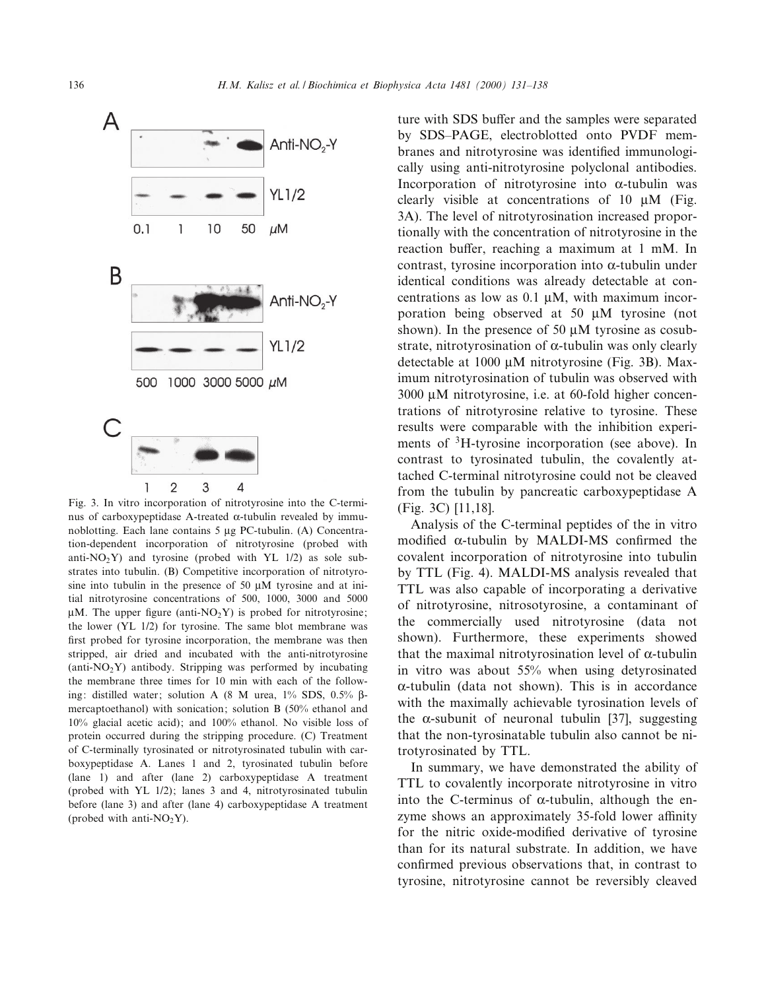

Fig. 3. In vitro incorporation of nitrotyrosine into the C-terminus of carboxypeptidase A-treated  $\alpha$ -tubulin revealed by immunoblotting. Each lane contains  $5 \mu g$  PC-tubulin. (A) Concentration-dependent incorporation of nitrotyrosine (probed with anti- $NO<sub>2</sub>Y$ ) and tyrosine (probed with YL 1/2) as sole substrates into tubulin. (B) Competitive incorporation of nitrotyrosine into tubulin in the presence of 50  $\mu$ M tyrosine and at initial nitrotyrosine concentrations of 500, 1000, 3000 and 5000  $\mu$ M. The upper figure (anti-NO<sub>2</sub>Y) is probed for nitrotyrosine; the lower (YL 1/2) for tyrosine. The same blot membrane was first probed for tyrosine incorporation, the membrane was then stripped, air dried and incubated with the anti-nitrotyrosine  $(anti-NO<sub>2</sub>Y)$  antibody. Stripping was performed by incubating the membrane three times for 10 min with each of the following: distilled water; solution A (8 M urea,  $1\%$  SDS,  $0.5\%$   $\beta$ mercaptoethanol) with sonication; solution B (50% ethanol and 10% glacial acetic acid); and 100% ethanol. No visible loss of protein occurred during the stripping procedure. (C) Treatment of C-terminally tyrosinated or nitrotyrosinated tubulin with carboxypeptidase A. Lanes 1 and 2, tyrosinated tubulin before (lane 1) and after (lane 2) carboxypeptidase A treatment (probed with YL 1/2); lanes 3 and 4, nitrotyrosinated tubulin before (lane 3) and after (lane 4) carboxypeptidase A treatment (probed with anti- $NO<sub>2</sub>Y$ ).

ture with SDS buffer and the samples were separated by SDS^PAGE, electroblotted onto PVDF membranes and nitrotyrosine was identified immunologically using anti-nitrotyrosine polyclonal antibodies. Incorporation of nitrotyrosine into  $\alpha$ -tubulin was clearly visible at concentrations of 10  $\mu$ M (Fig. 3A). The level of nitrotyrosination increased proportionally with the concentration of nitrotyrosine in the reaction buffer, reaching a maximum at 1 mM. In contrast, tyrosine incorporation into  $\alpha$ -tubulin under identical conditions was already detectable at concentrations as low as  $0.1 \mu M$ , with maximum incorporation being observed at 50 µM tyrosine (not shown). In the presence of 50  $\mu$ M tyrosine as cosubstrate, nitrotyrosination of  $\alpha$ -tubulin was only clearly detectable at  $1000 \mu M$  nitrotyrosine (Fig. 3B). Maximum nitrotyrosination of tubulin was observed with  $3000 \mu M$  nitrotyrosine, i.e. at 60-fold higher concentrations of nitrotyrosine relative to tyrosine. These results were comparable with the inhibition experiments of <sup>3</sup>H-tyrosine incorporation (see above). In contrast to tyrosinated tubulin, the covalently attached C-terminal nitrotyrosine could not be cleaved from the tubulin by pancreatic carboxypeptidase A (Fig. 3C) [11,18].

Analysis of the C-terminal peptides of the in vitro modified  $\alpha$ -tubulin by MALDI-MS confirmed the covalent incorporation of nitrotyrosine into tubulin by TTL (Fig. 4). MALDI-MS analysis revealed that TTL was also capable of incorporating a derivative of nitrotyrosine, nitrosotyrosine, a contaminant of the commercially used nitrotyrosine (data not shown). Furthermore, these experiments showed that the maximal nitrotyrosination level of  $\alpha$ -tubulin in vitro was about 55% when using detyrosinated  $\alpha$ -tubulin (data not shown). This is in accordance with the maximally achievable tyrosination levels of the  $\alpha$ -subunit of neuronal tubulin [37], suggesting that the non-tyrosinatable tubulin also cannot be nitrotyrosinated by TTL.

In summary, we have demonstrated the ability of TTL to covalently incorporate nitrotyrosine in vitro into the C-terminus of  $\alpha$ -tubulin, although the enzyme shows an approximately 35-fold lower affinity for the nitric oxide-modified derivative of tyrosine than for its natural substrate. In addition, we have confirmed previous observations that, in contrast to tyrosine, nitrotyrosine cannot be reversibly cleaved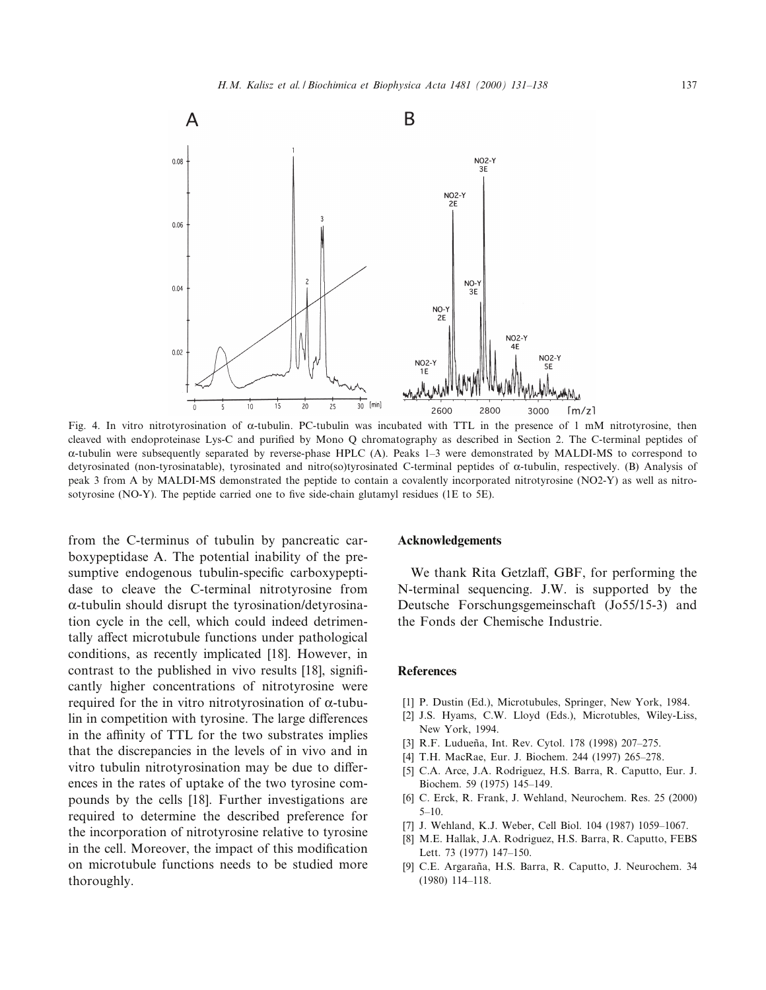

Fig. 4. In vitro nitrotyrosination of  $\alpha$ -tubulin. PC-tubulin was incubated with TTL in the presence of 1 mM nitrotyrosine, then cleaved with endoproteinase Lys-C and purified by Mono Q chromatography as described in Section 2. The C-terminal peptides of  $\alpha$ -tubulin were subsequently separated by reverse-phase HPLC (A). Peaks 1-3 were demonstrated by MALDI-MS to correspond to detyrosinated (non-tyrosinatable), tyrosinated and nitro(so)tyrosinated C-terminal peptides of  $\alpha$ -tubulin, respectively. (B) Analysis of peak 3 from A by MALDI-MS demonstrated the peptide to contain a covalently incorporated nitrotyrosine (NO2-Y) as well as nitrosotyrosine (NO-Y). The peptide carried one to five side-chain glutamyl residues (1E to  $5E$ ).

from the C-terminus of tubulin by pancreatic carboxypeptidase A. The potential inability of the presumptive endogenous tubulin-specific carboxypeptidase to cleave the C-terminal nitrotyrosine from  $\alpha$ -tubulin should disrupt the tyrosination/detyrosination cycle in the cell, which could indeed detrimentally affect microtubule functions under pathological conditions, as recently implicated [18]. However, in contrast to the published in vivo results [18], significantly higher concentrations of nitrotyrosine were required for the in vitro nitrotyrosination of  $\alpha$ -tubulin in competition with tyrosine. The large differences in the affinity of TTL for the two substrates implies that the discrepancies in the levels of in vivo and in vitro tubulin nitrotyrosination may be due to differences in the rates of uptake of the two tyrosine compounds by the cells [18]. Further investigations are required to determine the described preference for the incorporation of nitrotyrosine relative to tyrosine in the cell. Moreover, the impact of this modification on microtubule functions needs to be studied more thoroughly.

#### Acknowledgements

We thank Rita Getzlaff, GBF, for performing the N-terminal sequencing. J.W. is supported by the Deutsche Forschungsgemeinschaft (Jo55/15-3) and the Fonds der Chemische Industrie.

# References

- [1] P. Dustin (Ed.), Microtubules, Springer, New York, 1984.
- [2] J.S. Hyams, C.W. Lloyd (Eds.), Microtubles, Wiley-Liss, New York, 1994.
- [3] R.F. Ludueña, Int. Rev. Cytol. 178 (1998) 207-275.
- [4] T.H. MacRae, Eur. J. Biochem. 244 (1997) 265^278.
- [5] C.A. Arce, J.A. Rodriguez, H.S. Barra, R. Caputto, Eur. J. Biochem. 59 (1975) 145^149.
- [6] C. Erck, R. Frank, J. Wehland, Neurochem. Res. 25 (2000)  $5-10.$
- [7] J. Wehland, K.J. Weber, Cell Biol. 104 (1987) 1059-1067.
- [8] M.E. Hallak, J.A. Rodriguez, H.S. Barra, R. Caputto, FEBS Lett. 73 (1977) 147-150.
- [9] C.E. Argaraña, H.S. Barra, R. Caputto, J. Neurochem. 34 (1980) 114^118.